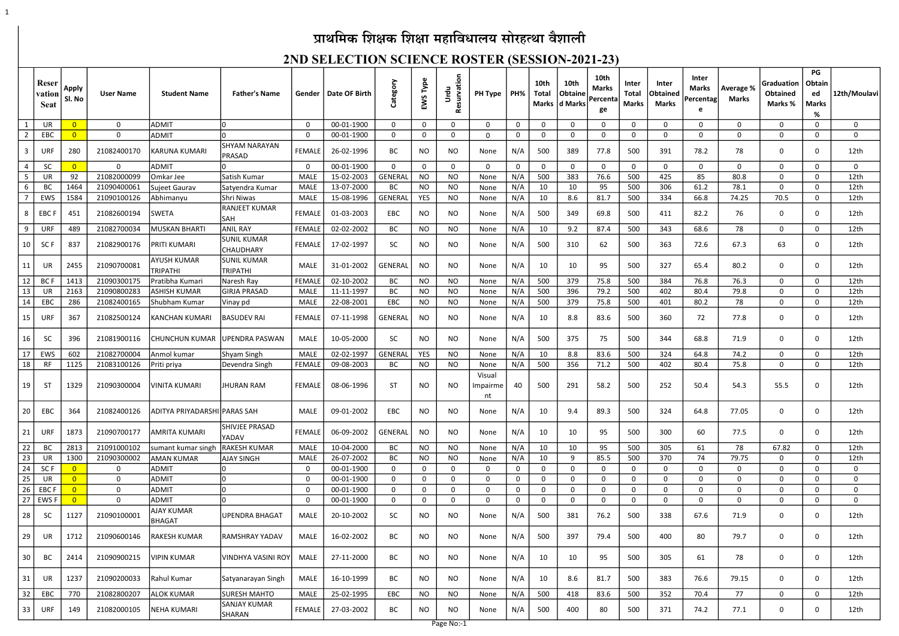# प्राथमिक शिक्षक शिक्षा महाविधालय सोरहत्था वैशाली

1

|                         | Reser<br>vation<br><b>Seat</b> | <b>Apply</b><br>SI. No | <b>User Name</b> | <b>Student Name</b>                   | <b>Father's Name</b>                   | Gender        | Date OF Birth | Category       | EWS Type     | Resurvation<br>Urdu | <b>PH Type</b>           | PH%          | 10th<br>Total | 10th<br>Obtaine<br>Marks   d Marks | 10th<br><b>Marks</b><br>Percenta<br>ge | Inter<br><b>Total</b><br><b>Marks</b> | <b>Inter</b><br>Obtained<br>Marks | Inter<br><b>Marks</b><br>Percentag<br>e | Average %<br>Marks | Graduation<br>Obtained<br>Marks % | PG<br>Obtain<br>ed<br><b>Marks</b><br>$\%$ | 12th/Moulavi |
|-------------------------|--------------------------------|------------------------|------------------|---------------------------------------|----------------------------------------|---------------|---------------|----------------|--------------|---------------------|--------------------------|--------------|---------------|------------------------------------|----------------------------------------|---------------------------------------|-----------------------------------|-----------------------------------------|--------------------|-----------------------------------|--------------------------------------------|--------------|
| $\mathbf{1}$            | UR                             | $\Omega$               | $\overline{0}$   | ADMIT                                 |                                        | $\Omega$      | 00-01-1900    | $\Omega$       | $\mathbf{0}$ | $\Omega$            | <sup>0</sup>             | $\mathbf{0}$ | $\Omega$      | $\Omega$                           | $\Omega$                               | $\Omega$                              | $\Omega$                          | $\Omega$                                | $\Omega$           | $\Omega$                          | $\Omega$                                   | $\Omega$     |
| $\overline{2}$          | EBC                            |                        | $\Omega$         | <b>ADMIT</b>                          |                                        | $\Omega$      | 00-01-1900    | 0              | $\mathbf 0$  | 0                   |                          | $\mathbf 0$  | 0             | 0                                  | 0                                      | 0                                     | $\mathbf 0$                       | $\mathbf{0}$                            | $\mathbf{0}$       | 0                                 | 0                                          | $\mathbf 0$  |
| $\overline{\mathbf{3}}$ | URF                            | 280                    | 21082400170      | KARUNA KUMARI                         | SHYAM NARAYAN<br><b>PRASAD</b>         | <b>FEMALE</b> | 26-02-1996    | BC             | NO           | NO.                 | None                     | N/A          | 500           | 389                                | 77.8                                   | 500                                   | 391                               | 78.2                                    | 78                 | 0                                 | 0                                          | 12th         |
| $\overline{4}$          | <b>SC</b>                      | $\Omega$               | $\mathbf 0$      | <b>ADMIT</b>                          |                                        | $\Omega$      | 00-01-1900    | $\Omega$       | $\mathbf 0$  | $\mathbf{0}$        | 0                        | 0            | 0             | 0                                  | $\mathbf{0}$                           | $\Omega$                              | $\mathbf{0}$                      | $\mathbf{0}$                            | $\mathbf{0}$       | 0                                 | $\mathbf{0}$                               | $\mathbf 0$  |
| 5                       | UR                             | 92                     | 21082000099      | Omkar Jee                             | lSatish Kumar                          | <b>MALE</b>   | 15-02-2003    | <b>GENERAL</b> | <b>NO</b>    | NO.                 | None                     | N/A          | 500           | 383                                | 76.6                                   | 500                                   | 425                               | 85                                      | 80.8               | 0                                 | $\Omega$                                   | 12th         |
| 6                       | <b>BC</b>                      | 1464                   | 21090400061      | Sujeet Gaurav                         | Satyendra Kumar                        | <b>MALE</b>   | 13-07-2000    | <b>BC</b>      | <b>NO</b>    | <b>NO</b>           | None                     | N/A          | 10            | 10                                 | 95                                     | 500                                   | 306                               | 61.2                                    | 78.1               | $\mathbf{0}$                      | $\mathbf{0}$                               | 12th         |
| $\overline{7}$          | EWS                            | 1584                   | 21090100126      | Abhimanyu                             | Shri Niwas                             | MALE          | 15-08-1996    | <b>GENERAL</b> | YES          | <b>NO</b>           | None                     | N/A          | 10            | 8.6                                | 81.7                                   | 500                                   | 334                               | 66.8                                    | 74.25              | 70.5                              | 0                                          | 12th         |
| 8                       | <b>EBCF</b>                    | 451                    | 21082600194      | SWETA                                 | <b>RANJEET KUMAR</b><br>lsah           | <b>FEMALE</b> | 01-03-2003    | EBC            | <b>NO</b>    | NO                  | None                     | N/A          | 500           | 349                                | 69.8                                   | 500                                   | 411                               | 82.2                                    | 76                 | 0                                 | 0                                          | 12th         |
| 9                       | URF                            | 489                    | 21082700034      | <b>MUSKAN BHARTI</b>                  | <b>ANIL RAY</b>                        | <b>FEMALE</b> | 02-02-2002    | BC             | <b>NO</b>    | NO.                 | None                     | N/A          | 10            | 9.2                                | 87.4                                   | 500                                   | 343                               | 68.6                                    | 78                 | $\Omega$                          | $\mathbf{0}$                               | 12th         |
| 10                      | SC <sub>F</sub>                | 837                    | 21082900176      | PRITI KUMARI                          | <b>SUNIL KUMAR</b><br><b>CHAUDHARY</b> | <b>FEMALE</b> | 17-02-1997    | <b>SC</b>      | <b>NO</b>    | NO                  | None                     | N/A          | 500           | 310                                | 62                                     | 500                                   | 363                               | 72.6                                    | 67.3               | 63                                | $\mathbf 0$                                | 12th         |
| 11                      | UR                             | 2455                   | 21090700081      | <b>AYUSH KUMAR</b><br><b>TRIPATHI</b> | SUNIL KUMAR<br><b>TRIPATHI</b>         | <b>MALE</b>   | 31-01-2002    | <b>GENERAL</b> | <b>NO</b>    | NO                  | None                     | N/A          | 10            | 10                                 | 95                                     | 500                                   | 327                               | 65.4                                    | 80.2               | 0                                 | 0                                          | 12th         |
| 12                      | BC I                           | 1413                   | 21090300175      | Pratibha Kumar                        | Naresh Ray                             | <b>FEMALE</b> | 02-10-2002    | <b>BC</b>      | <b>NO</b>    | <b>NO</b>           | None                     | N/A          | 500           | 379                                | 75.8                                   | 500                                   | 384                               | 76.8                                    | 76.3               | 0                                 | $\Omega$                                   | 12th         |
| 13                      | UR                             | 2163                   | 21090800283      | ASHISH KUMAR                          | <b>GIRJA PRASAD</b>                    | <b>MALE</b>   | 11-11-1997    | <b>BC</b>      | <b>NO</b>    | <b>NO</b>           | None                     | N/A          | 500           | 396                                | 79.2                                   | 500                                   | 402                               | 80.4                                    | 79.8               | 0                                 | $\mathbf 0$                                | 12th         |
| 14                      | EBC                            | 286                    | 21082400165      | Shubham Kumar                         | Vinay pd                               | <b>MALE</b>   | 22-08-2001    | EBC            | <b>NO</b>    | <b>NO</b>           | None                     | N/A          | 500           | 379                                | 75.8                                   | 500                                   | 401                               | 80.2                                    | 78                 | 0                                 | $\Omega$                                   | 12th         |
| 15                      | URF                            | 367                    | 21082500124      | KANCHAN KUMARI                        | <b>BASUDEV RAI</b>                     | <b>FEMALE</b> | 07-11-1998    | <b>GENERAL</b> | <b>NO</b>    | NO                  | None                     | N/A          | -10           | 8.8                                | 83.6                                   | 500                                   | 360                               | 72                                      | 77.8               | 0                                 | 0                                          | 12th         |
| 16                      | -SC                            | 396                    | 21081900116      | CHUNCHUN KUMAR  UPENDRA PASWAN        |                                        | MALE          | 10-05-2000    | <b>SC</b>      | <b>NO</b>    | NO                  | None                     | N/A          | 500           | 375                                | 75                                     | 500                                   | 344                               | 68.8                                    | 71.9               | 0                                 | 0                                          | 12th         |
| 17                      | EWS                            | 602                    | 21082700004      | Anmol kumar                           | Shyam Singh                            | <b>MALE</b>   | 02-02-1997    | <b>GENERAL</b> | <b>YES</b>   | <b>NO</b>           | None                     | N/A          | 10            | 8.8                                | 83.6                                   | 500                                   | 324                               | 64.8                                    | 74.2               | $\mathbf{0}$                      | $\Omega$                                   | 12th         |
| 18                      | <b>RF</b>                      | 1125                   | 21083100126      | Priti priya                           | Devendra Singh                         | <b>FEMALE</b> | 09-08-2003    | BC             | <b>NO</b>    | NO                  | None                     | N/A          | 500           | 356                                | 71.2                                   | 500                                   | 402                               | 80.4                                    | 75.8               | 0                                 | $\Omega$                                   | 12th         |
| 19                      | -ST                            | 1329                   | 21090300004      | VINITA KUMARI                         | <b>JHURAN RAM</b>                      | <b>FEMALE</b> | 08-06-1996    | <b>ST</b>      | <b>NO</b>    | NO.                 | Visual<br>Impairme<br>nt | 40           | 500           | 291                                | 58.2                                   | 500                                   | 252                               | 50.4                                    | 54.3               | 55.5                              | $\Omega$                                   | 12th         |
| 20                      | EBC                            | 364                    | 21082400126      | ADITYA PRIYADARSHI PARAS SAH          |                                        | MALE          | 09-01-2002    | EBC            | <b>NO</b>    | <b>NO</b>           | None                     | N/A          | 10            | 9.4                                | 89.3                                   | 500                                   | 324                               | 64.8                                    | 77.05              | 0                                 | 0                                          | 12th         |
| 21                      | URF                            | 1873                   | 21090700177      | <b>AMRITA KUMARI</b>                  | SHIVJEE PRASAD<br>YADAV                | FEMALE        | 06-09-2002    | GENERAL        | <b>NO</b>    | <b>NO</b>           | None                     | N/A          | 10            | 10                                 | 95                                     | 500                                   | 300                               | 60                                      | 77.5               | $\mathbf 0$                       | $\mathbf 0$                                | 12th         |
| 22                      | BC                             | 2813                   | 21091000102      | sumant kumar singh                    | <b>RAKESH KUMAR</b>                    | <b>MALE</b>   | 10-04-2000    | BC             | <b>NO</b>    | <b>NO</b>           | None                     | N/A          | 10            | 10                                 | 95                                     | 500                                   | 305                               | 61                                      | 78                 | 67.82                             | $\mathbf 0$                                | 12th         |
| 23                      | UR                             | 1300                   | 21090300002      | <b>AMAN KUMAR</b>                     | <b>AJAY SINGH</b>                      | <b>MALE</b>   | 26-07-2002    | BC             | <b>NO</b>    | <b>NO</b>           | None                     | N/A          | 10            | 9                                  | 85.5                                   | 500                                   | 370                               | 74                                      | 79.75              | 0                                 | 0                                          | 12th         |
| 24                      | SC F                           | $\overline{0}$         | 0                | <b>ADMIT</b>                          |                                        | $\mathbf 0$   | 00-01-1900    | $\mathbf 0$    | $\mathbf 0$  | 0                   | 0                        | $\mathbf 0$  | 0             | 0                                  | 0                                      | $\mathbf 0$                           | $\mathbf{0}$                      | $\mathbf 0$                             | 0                  | $\mathbf 0$                       | 0                                          | 0            |
| 25                      | UR                             | $\overline{0}$         | 0                | <b>ADMIT</b>                          |                                        | 0             | 00-01-1900    | 0              | $\mathbf 0$  | 0                   | 0                        | 0            | 0             | 0                                  | 0                                      | $\mathbf 0$                           | $\mathbf 0$                       | 0                                       | 0                  | 0                                 | $\mathbf 0$                                | 0            |
| 26                      | <b>EBCF</b>                    | $\overline{0}$         | $\mathbf 0$      | <b>ADMIT</b>                          |                                        | 0             | 00-01-1900    | 0              | $\mathbf{0}$ | 0                   | 0                        | 0            | 0             | $\mathbf{0}$                       | $\mathbf{0}$                           | $\mathbf 0$                           | $\mathbf{0}$                      | 0                                       | 0                  | 0                                 | 0                                          | 0            |
|                         | $27$ EWS F                     | $\overline{0}$         | $\mathbf 0$      | ADMIT                                 |                                        | $\mathbf 0$   | 00-01-1900    | $\mathbf 0$    | $\mathbf 0$  | $\mathbf 0$         | 0                        | 0            | 0             | $\mathbf 0$                        | $\mathbf{0}$                           | $\mathbf 0$                           | $\mathbf 0$                       | $\mathbf 0$                             | 0                  | $\mathbf 0$                       | $\mathbf{0}$                               | $\mathbf 0$  |
| 28                      | <b>SC</b>                      | 1127                   | 21090100001      | AJAY KUMAR<br><b>BHAGAT</b>           | <b>UPENDRA BHAGAT</b>                  | MALE          | 20-10-2002    | <b>SC</b>      | <b>NO</b>    | <b>NO</b>           | None                     | N/A          | 500           | 381                                | 76.2                                   | 500                                   | 338                               | 67.6                                    | 71.9               | $\mathbf 0$                       | 0                                          | 12th         |
| 29                      | UR                             | 1712                   | 21090600146      | RAKESH KUMAR                          | RAMSHRAY YADAV                         | MALE          | 16-02-2002    | <b>BC</b>      | <b>NO</b>    | NO.                 | None                     | N/A          | 500           | 397                                | 79.4                                   | 500                                   | 400                               | 80                                      | 79.7               | $\mathbf 0$                       | $\mathbf 0$                                | 12th         |
| 30                      | BC                             | 2414                   | 21090900215      | <b>VIPIN KUMAR</b>                    | <b>VINDHYA VASINI ROY</b>              | MALE          | 27-11-2000    | BC             | <b>NO</b>    | NO.                 | None                     | N/A          | 10            | 10                                 | 95                                     | 500                                   | 305                               | 61                                      | 78                 | $\mathbf 0$                       | $\mathbf 0$                                | 12th         |
| 31                      | UR                             | 1237                   | 21090200033      | Rahul Kumar                           | Satyanarayan Singh                     | MALE          | 16-10-1999    | <b>BC</b>      | <b>NO</b>    | <b>NO</b>           | None                     | N/A          | 10            | 8.6                                | 81.7                                   | 500                                   | 383                               | 76.6                                    | 79.15              | $\mathbf 0$                       | $\mathbf 0$                                | 12th         |
| 32                      | EBC                            | 770                    | 21082800207      | <b>ALOK KUMAR</b>                     | <b>SURESH MAHTO</b>                    | MALE          | 25-02-1995    | EBC            | <b>NO</b>    | <b>NO</b>           | None                     | N/A          | 500           | 418                                | 83.6                                   | 500                                   | 352                               | 70.4                                    | 77                 | $\mathbf 0$                       | 0                                          | 12th         |
| 33                      | URF                            | 149                    | 21082000105      | NEHA KUMARI                           | <b>SANJAY KUMAR</b><br>SHARAN          | <b>FEMALE</b> | 27-03-2002    | BC             | <b>NO</b>    | <b>NO</b>           | None                     | N/A          | 500           | 400                                | 80                                     | 500                                   | 371                               | 74.2                                    | 77.1               | 0                                 | 0                                          | 12th         |

Page No:-1

### 2ND SELECTION SCIENCE ROSTER (SESSION-2021-23)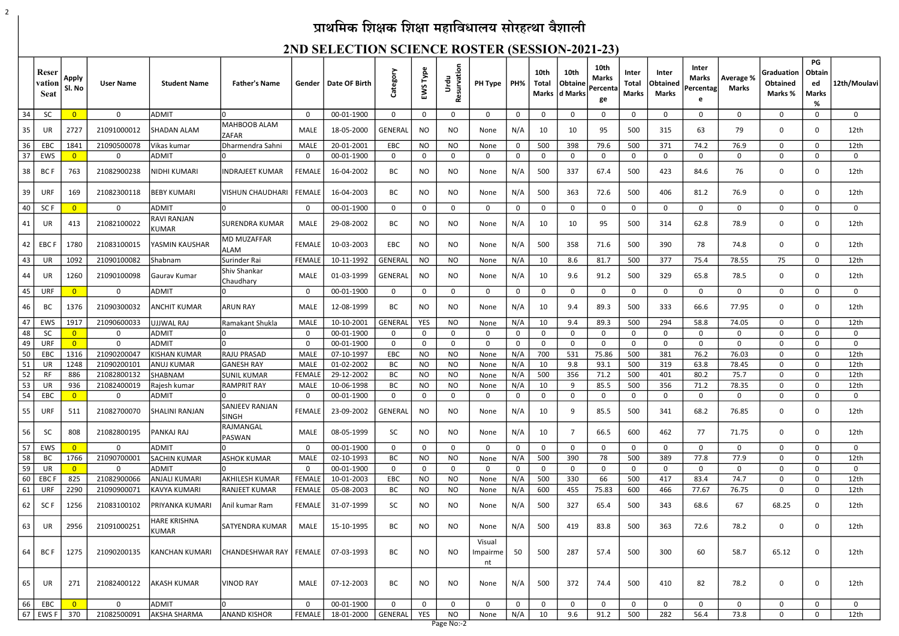# प्राथमिक शिक्षक शिक्षा महाविधालय सोरहत्था वैशाली

2

#### 2ND SELECTION SCIENCE ROSTER (SESSION-2021-23)

|    | Reser<br>vation<br><b>Seat</b> | <b>Apply</b><br>Sl. No | <b>User Name</b> | <b>Student Name</b>          | <b>Father's Name</b>             | Gender        | Date OF Birth | Category       | EWS Type     | Resurvation<br>Urdu | PH Type                  | PH%            | 10th<br>Total | 10th<br><b>Obtaine</b><br>Marks d Marks | 10th<br><b>Marks</b><br>Percenta<br>ge | Inter<br><b>Total</b><br><b>Marks</b> | Inter<br><b>Obtained</b><br>Marks | <b>Inter</b><br>Marks<br>Percentag<br>e | Average %<br><b>Marks</b> | Graduation<br>Obtained<br>Marks % | PG<br>Obtain<br>ed<br><b>Marks</b><br>$\%$ | 12th/Moulavi |
|----|--------------------------------|------------------------|------------------|------------------------------|----------------------------------|---------------|---------------|----------------|--------------|---------------------|--------------------------|----------------|---------------|-----------------------------------------|----------------------------------------|---------------------------------------|-----------------------------------|-----------------------------------------|---------------------------|-----------------------------------|--------------------------------------------|--------------|
| 34 | <b>SC</b>                      | $\overline{0}$         | $\mathbf 0$      | <b>ADMIT</b>                 |                                  | 0             | 00-01-1900    | $\mathbf 0$    | $\mathbf 0$  | 0                   | $\Omega$                 | $\mathbf 0$    | 0             | 0                                       | 0                                      | 0                                     | 0                                 | 0                                       | 0                         | 0                                 | 0                                          | $\mathbf 0$  |
| 35 | UR                             | 2727                   | 21091000012      | <b>SHADAN ALAM</b>           | MAHBOOB ALAM                     | MALE          | 18-05-2000    | <b>GENERAL</b> | <b>NO</b>    | NO.                 | None                     | N/A            | 10            | 10                                      | 95                                     | 500                                   | 315                               | 63                                      | 79                        | $\mathbf 0$                       | 0                                          | 12th         |
| 36 | EB <sub>C</sub>                | 1841                   | 21090500078      | Vikas kumar                  | <b>ZAFAR</b><br>Dharmendra Sahni | <b>MALE</b>   | 20-01-2001    | EBC            | <b>NO</b>    | NO                  | None                     | $\mathbf 0$    | 500           | 398                                     | 79.6                                   | 500                                   | 371                               | 74.2                                    | 76.9                      | 0                                 | 0                                          | 12th         |
| 37 | EWS                            | $\overline{0}$         | $\mathbf 0$      | <b>ADMIT</b>                 |                                  | $\Omega$      | 00-01-1900    | $\Omega$       | $\mathbf{0}$ | 0                   | U                        | $\mathbf{0}$   | $\Omega$      | $\Omega$                                | $\Omega$                               | 0                                     | $\mathbf 0$                       | $\mathbf 0$                             | 0                         | 0                                 | $\Omega$                                   | $\mathbf 0$  |
| 38 | BC F                           | 763                    | 21082900238      | NIDHI KUMARI                 | <b>INDRAJEET KUMAR</b>           | <b>FEMALE</b> | 16-04-2002    | BC             | <b>NO</b>    | NO.                 | None                     | N/A            | 500           | 337                                     | 67.4                                   | 500                                   | 423                               | 84.6                                    | 76                        | 0                                 | 0                                          | 12th         |
| 39 | URF                            | 169                    | 21082300118      | BEBY KUMARI                  | <b>VISHUN CHAUDHAR</b>           | <b>FEMALE</b> | 16-04-2003    | BC             | <b>NO</b>    | NO.                 | None                     | N/A            | 500           | 363                                     | 72.6                                   | 500                                   | 406                               | 81.2                                    | 76.9                      | $\mathbf 0$                       | $\mathbf 0$                                | 12th         |
| 40 | SC <sub>F</sub>                |                        | $\mathbf 0$      | <b>ADMIT</b>                 |                                  | 0             | 00-01-1900    | 0              | $\mathbf 0$  | 0                   |                          | 0              | 0             | 0                                       | 0                                      | $\Omega$                              | $\mathbf 0$                       | 0                                       | 0                         | 0                                 | $\Omega$                                   | $\mathbf 0$  |
| 41 | UR                             | 413                    | 21082100022      | RAVI RANJAN<br><b>KUMAR</b>  | SURENDRA KUMAR                   | MALE          | 29-08-2002    | BC             | NO           | NO                  | None                     | N/A            | 10            | 10                                      | 95                                     | 500                                   | 314                               | 62.8                                    | 78.9                      | 0                                 | 0                                          | 12th         |
| 42 | <b>EBC F</b>                   | 1780                   | 21083100015      | YASMIN KAUSHAR               | <b>MD MUZAFFAR</b><br>ALAM       | <b>FEMALE</b> | 10-03-2003    | EBC            | <b>NO</b>    | NO                  | None                     | N/A            | 500           | 358                                     | 71.6                                   | 500                                   | 390                               | 78                                      | 74.8                      | $\mathbf 0$                       | 0                                          | 12th         |
| 43 | UR                             | 1092                   | 21090100082      | Shabnam                      | Surinder Rai                     | <b>FEMALE</b> | 10-11-1992    | <b>GENERAL</b> | <b>NO</b>    | <b>NO</b>           | None                     | N/A            | 10            | 8.6                                     | 81.7                                   | 500                                   | 377                               | 75.4                                    | 78.55                     | 75                                | $\Omega$                                   | 12th         |
| 44 | UR                             | 1260                   | 21090100098      | Gaurav Kumar                 | Shiv Shankar<br>Chaudhary        | <b>MALE</b>   | 01-03-1999    | <b>GENERAL</b> | <b>NO</b>    | NO.                 | None                     | N/A            | 10            | 9.6                                     | 91.2                                   | 500                                   | 329                               | 65.8                                    | 78.5                      | 0                                 | 0                                          | 12th         |
| 45 | URF                            | $\Omega$               | $\mathbf{0}$     | <b>ADMIT</b>                 |                                  | $\Omega$      | 00-01-1900    | $\mathbf 0$    | $\mathbf 0$  | $\Omega$            | $\Omega$                 | $\mathbf 0$    | 0             | $\mathbf{0}$                            | $\Omega$                               | $\Omega$                              | $\mathbf{0}$                      | $\mathbf 0$                             | 0                         | $\mathbf{0}$                      | 0                                          | $\Omega$     |
| 46 | BC                             | 1376                   | 21090300032      | <b>ANCHIT KUMAR</b>          | <b>ARUN RAY</b>                  | <b>MALE</b>   | 12-08-1999    | BC             | NO.          | NO.                 | None                     | N/A            | -10           | 9.4                                     | 89.3                                   | 500                                   | 333                               | 66.6                                    | 77.95                     | $\mathbf 0$                       | 0                                          | 12th         |
| 47 | EWS                            | 1917                   | 21090600033      | JJJWAL RAJ                   | Ramakant Shukla                  | MALE          | 10-10-2001    | <b>GENERAL</b> | <b>YES</b>   | NO.                 | None                     | N/A            | 10            | 9.4                                     | 89.3                                   | 500                                   | 294                               | 58.8                                    | 74.05                     | 0                                 | $\Omega$                                   | 12th         |
| 48 | <b>SC</b>                      | $\overline{0}$         | $\mathbf 0$      | <b>ADMIT</b>                 |                                  | $\Omega$      | 00-01-1900    | $\mathbf 0$    | $\mathbf{0}$ | 0                   | U                        | $\mathbf 0$    | 0             | 0                                       | 0                                      | 0                                     | $\mathbf{0}$                      | $\mathbf{0}$                            | 0                         | 0                                 | $\Omega$                                   | $\mathbf 0$  |
| 49 | URF                            |                        | $\mathbf 0$      | ADMIT                        |                                  | $\Omega$      | 00-01-1900    | $\mathbf 0$    | 0            | $\Omega$            | $\Omega$                 | $\mathbf 0$    | $\Omega$      | $\Omega$                                | $\Omega$                               | $\Omega$                              | $\mathbf 0$                       | $\Omega$                                | $\mathbf{0}$              | $\mathbf 0$                       | $\Omega$                                   | $\mathbf 0$  |
| 50 | EBC                            | 1316                   | 21090200047      | <b>KISHAN KUMAR</b>          | <b>RAJU PRASAD</b>               | <b>MALE</b>   | 07-10-1997    | EBC            | <b>NO</b>    | NO                  | None                     | N/A            | 700           | 531                                     | 75.86                                  | 500                                   | 381                               | 76.2                                    | 76.03                     | $\mathbf 0$                       | $\Omega$                                   | 12th         |
| 51 | UR                             | 1248                   | 21090200101      | ANUJ KUMAR                   | <b>GANESH RAY</b>                | <b>MALE</b>   | 01-02-2002    | BC             | <b>NO</b>    | <b>NO</b>           | None                     | N/A            | 10            | 9.8                                     | 93.1                                   | 500                                   | 319                               | 63.8                                    | 78.45                     | 0                                 | $\Omega$                                   | 12th         |
| 52 | RF                             | 886                    | 21082800132      | SHABNAM                      | SUNIL KUMAR                      | <b>FEMALE</b> | 29-12-2002    | ВC             | NO           | NO                  | None                     | N/A            | 500           | 356                                     | 71.2                                   | 500                                   | 401                               | 80.2                                    | 75.7                      | 0                                 | $\Omega$                                   | 12th         |
| 53 | UR                             | 936                    | 21082400019      | Rajesh kumar                 | <b>RAMPRIT RAY</b>               | <b>MALE</b>   | 10-06-1998    | <b>BC</b>      | <b>NO</b>    | NO                  | None                     | N/A            | 10            | 9                                       | 85.5                                   | 500                                   | 356                               | 71.2                                    | 78.35                     | 0                                 | $\Omega$                                   | 12th         |
| 54 | EBC                            |                        | $\mathbf 0$      | ADMIT                        | 10.                              | 0             | 00-01-1900    | 0              | $\mathbf{0}$ | 0                   | 0                        | 0              | 0             | 0                                       | 0                                      | 0                                     | 0                                 | 0                                       | 0                         | 0                                 | $\mathbf 0$                                | 0            |
| 55 | URF                            | 511                    | 21082700070      | <b>SHALINI RANJAN</b>        | SANJEEV RANJAN<br><b>SINGH</b>   | FEMALE        | 23-09-2002    | GENERAL        | <b>NO</b>    | NO.                 | None                     | N/A            | 10            | 9                                       | 85.5                                   | 500                                   | 341                               | 68.2                                    | 76.85                     | 0                                 | 0                                          | 12th         |
| 56 | <b>SC</b>                      | 808                    | 21082800195      | PANKAJ RAJ                   | RAJMANGAL<br>PASWAN              | MALE          | 08-05-1999    | <b>SC</b>      | <b>NO</b>    | NO.                 | None                     | N/A            | 10            | 7                                       | 66.5                                   | 600                                   | 462                               | 77                                      | 71.75                     | 0                                 | $\mathbf 0$                                | 12th         |
| 57 | EWS                            |                        | $\overline{0}$   | ADMIT                        |                                  | 0             | 00-01-1900    | $\mathbf{0}$   | $\mathbf 0$  | $\mathbf 0$         |                          | 0              | 0             | $\mathbf{0}$                            | $\Omega$                               | $\mathbf 0$                           | $\mathbf{0}$                      | $\mathbf{0}$                            | 0                         | 0                                 | 0                                          | 0            |
| 58 | BC                             | 1766                   | 21090700001      | <b>SACHIN KUMAR</b>          | <b>ASHOK KUMAR</b>               | <b>MALE</b>   | 02-10-1993    | BC             | <b>NO</b>    | <b>NO</b>           | None                     | N/A            | 500           | 390                                     | 78                                     | 500                                   | 389                               | 77.8                                    | 77.9                      | 0                                 | $\mathbf 0$                                | 12th         |
| 59 | UR                             | $\overline{0}$         | $\overline{0}$   | <b>ADMIT</b>                 |                                  | $\mathbf 0$   | 00-01-1900    | 0              | $\mathbf 0$  | 0                   | $\Omega$                 | $\overline{0}$ | 0             | $\mathbf{0}$                            | $\mathbf{0}$                           | $\mathbf 0$                           | $\mathbf{0}$                      | $\mathbf{0}$                            | 0                         | 0                                 | $\mathbf 0$                                | $\mathbf 0$  |
| 60 | <b>EBCF</b>                    | 825                    | 21082900066      | <b>ANJALI KUMARI</b>         | <b>AKHILESH KUMAR</b>            | <b>FEMALE</b> | 10-01-2003    | EBC            | <b>NO</b>    | NO                  | None                     | N/A            | 500           | 330                                     | 66                                     | 500                                   | 417                               | 83.4                                    | 74.7                      | 0                                 | 0                                          | 12th         |
| 61 | <b>URF</b>                     | 2290                   | 21090900071      | KAVYA KUMARI                 | <b>RANJEET KUMAR</b>             | <b>FEMALE</b> | 05-08-2003    | BC             | <b>NO</b>    | <b>NO</b>           | None                     | N/A            | 600           | 455                                     | 75.83                                  | 600                                   | 466                               | 77.67                                   | 76.75                     | 0                                 | 0                                          | 12th         |
| 62 | SC F                           | 1256                   | 21083100102      | PRIYANKA KUMARI              | Anil kumar Ram                   | <b>FEMALE</b> | 31-07-1999    | SC.            | <b>NO</b>    | NO.                 | None                     | N/A            | 500           | 327                                     | 65.4                                   | 500                                   | 343                               | 68.6                                    | 67                        | 68.25                             | $\mathbf 0$                                | 12th         |
| 63 | UR                             | 2956                   | 21091000251      | <b>HARE KRISHNA</b><br>KUMAR | <b>SATYENDRA KUMAR</b>           | MALE          | 15-10-1995    | BC             | <b>NO</b>    | <b>NO</b>           | None                     | N/A            | 500           | 419                                     | 83.8                                   | 500                                   | 363                               | 72.6                                    | 78.2                      | $\mathbf 0$                       | 0                                          | 12th         |
| 64 | BC F                           | 1275                   | 21090200135      | <b>KANCHAN KUMARI</b>        | CHANDESHWAR RAY   FEMALE         |               | 07-03-1993    | BC             | <b>NO</b>    | NO                  | Visual<br>Impairme<br>nt | 50             | 500           | 287                                     | 57.4                                   | 500                                   | 300                               | 60                                      | 58.7                      | 65.12                             | 0                                          | 12th         |
| 65 | UR                             | 271                    | 21082400122      | AKASH KUMAR                  | <b>VINOD RAY</b>                 | MALE          | 07-12-2003    | BC             | <b>NO</b>    | NO                  | None                     | N/A            | 500           | 372                                     | 74.4                                   | 500                                   | 410                               | 82                                      | 78.2                      | 0                                 | 0                                          | 12th         |
| 66 | EBC                            | $\overline{0}$         | $\mathbf 0$      | <b>ADMIT</b>                 |                                  | $\Omega$      | 00-01-1900    | $\mathbf 0$    | $\mathbf 0$  | 0                   | $\Omega$                 | 0              | 0             | $\mathbf{0}$                            | $\mathbf{0}$                           | $\Omega$                              | $\mathbf{0}$                      | 0                                       | 0                         | $\mathbf 0$                       | 0                                          | $\mathbf 0$  |
|    | 67 EWS F                       | 370                    | 21082500091      | AKSHA SHARMA                 | <b>ANAND KISHOR</b>              | FEMALE        | 18-01-2000    | GENERAL        | YES          | <b>NO</b>           | None                     | N/A            | 10            | 9.6                                     | 91.2                                   | 500                                   | 282                               | 56.4                                    | 73.8                      | 0                                 | 0                                          | 12th         |

Page No:-2